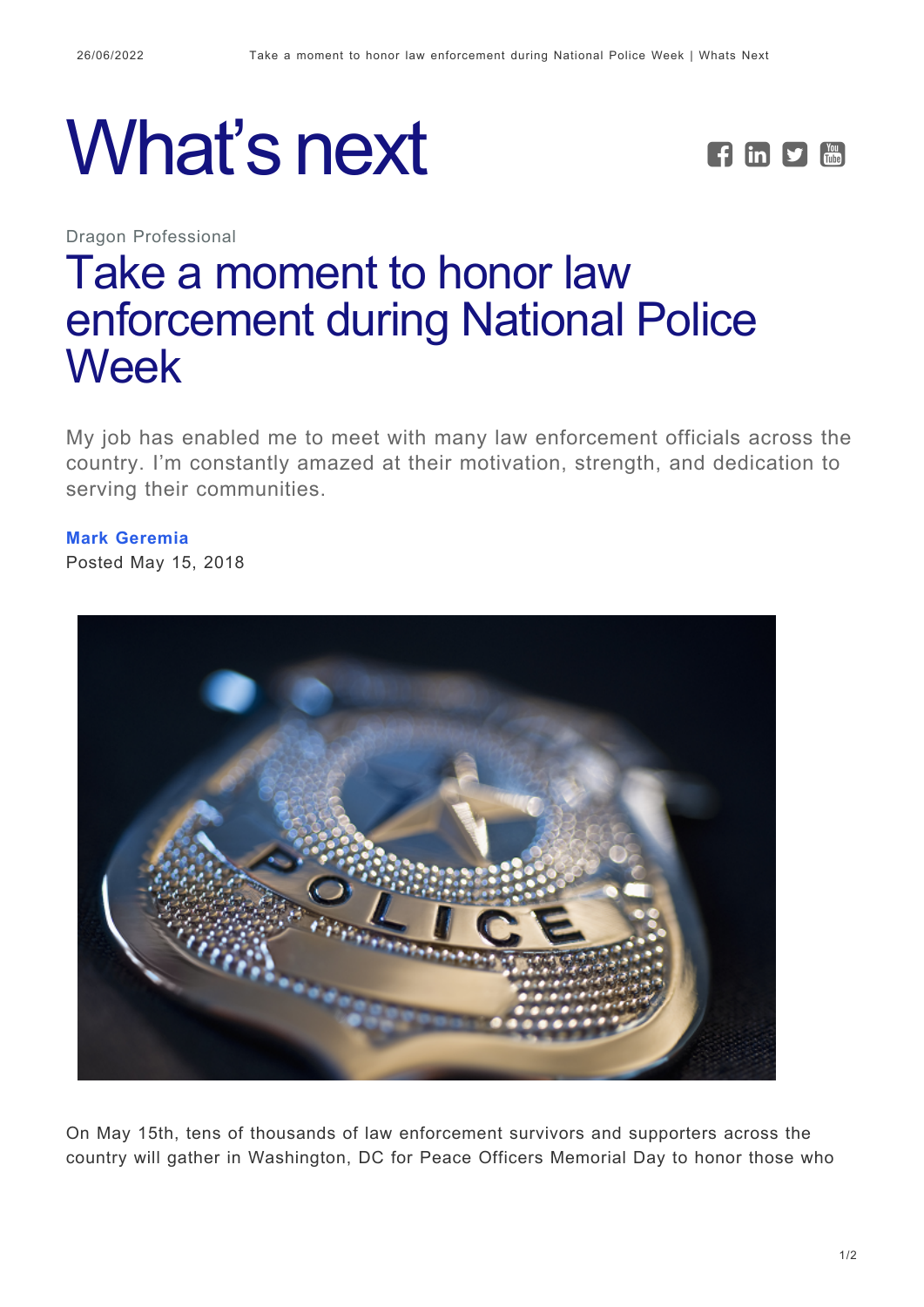



Dragon Professional

## [Take a moment to honor law](https://whatsnext.nuance.com/dragon-professional/dragon-law-enforcement-national-police-week/) [enforcement during National Police](https://whatsnext.nuance.com/dragon-professional/dragon-law-enforcement-national-police-week/) [Week](https://whatsnext.nuance.com/dragon-professional/dragon-law-enforcement-national-police-week/)

My job has enabled me to meet with many law enforcement officials across the country. I'm constantly amazed at their motivation, strength, and dedication to serving their communities.

**[Mark Geremia](https://whatsnext.nuance.com/author/mark-geremia/)** Posted May 15, 2018



On May 15th, tens of thousands of law enforcement survivors and supporters across the country will gather in Washington, DC for Peace Officers Memorial Day to honor those who